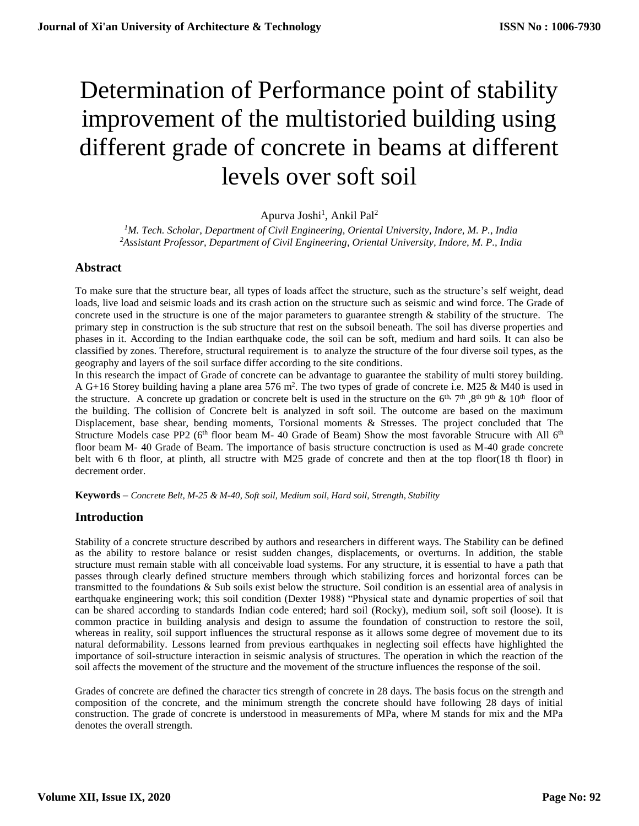# Determination of Performance point of stability improvement of the multistoried building using different grade of concrete in beams at different levels over soft soil

Apurva Joshi<sup>1</sup>, Ankil Pal<sup>2</sup>

*<sup>1</sup>M. Tech. Scholar, Department of Civil Engineering, Oriental University, Indore, M. P., India <sup>2</sup>Assistant Professor, Department of Civil Engineering, Oriental University, Indore, M. P., India*

# **Abstract**

To make sure that the structure bear, all types of loads affect the structure, such as the structure's self weight, dead loads, live load and seismic loads and its crash action on the structure such as seismic and wind force. The Grade of concrete used in the structure is one of the major parameters to guarantee strength & stability of the structure. The primary step in construction is the sub structure that rest on the subsoil beneath. The soil has diverse properties and phases in it. According to the Indian earthquake code, the soil can be soft, medium and hard soils. It can also be classified by zones. Therefore, structural requirement is to analyze the structure of the four diverse soil types, as the geography and layers of the soil surface differ according to the site conditions.

In this research the impact of Grade of concrete can be advantage to guarantee the stability of multi storey building. A G+16 Storey building having a plane area 576 m<sup>2</sup>. The two types of grade of concrete i.e. M25 & M40 is used in the structure. A concrete up gradation or concrete belt is used in the structure on the  $6<sup>th</sup>$ ,  $7<sup>th</sup>$ ,  $8<sup>th</sup>$   $9<sup>th</sup>$  &  $10<sup>th</sup>$  floor of the building. The collision of Concrete belt is analyzed in soft soil. The outcome are based on the maximum Displacement, base shear, bending moments, Torsional moments & Stresses. The project concluded that The Structure Models case PP2 ( $6<sup>th</sup>$  floor beam M- 40 Grade of Beam) Show the most favorable Strucure with All  $6<sup>th</sup>$ floor beam M- 40 Grade of Beam. The importance of basis structure conctruction is used as M-40 grade concrete belt with 6 th floor, at plinth, all structre with M25 grade of concrete and then at the top floor(18 th floor) in decrement order.

**Keywords –** *Concrete Belt, M-25 & M-40, Soft soil, Medium soil, Hard soil, Strength, Stability*

#### **Introduction**

Stability of a concrete structure described by authors and researchers in different ways. The Stability can be defined as the ability to restore balance or resist sudden changes, displacements, or overturns. In addition, the stable structure must remain stable with all conceivable load systems. For any structure, it is essential to have a path that passes through clearly defined structure members through which stabilizing forces and horizontal forces can be transmitted to the foundations & Sub soils exist below the structure. Soil condition is an essential area of analysis in earthquake engineering work; this soil condition (Dexter 1988) "Physical state and dynamic properties of soil that can be shared according to standards Indian code entered; hard soil (Rocky), medium soil, soft soil (loose). It is common practice in building analysis and design to assume the foundation of construction to restore the soil, whereas in reality, soil support influences the structural response as it allows some degree of movement due to its natural deformability. Lessons learned from previous earthquakes in neglecting soil effects have highlighted the importance of soil-structure interaction in seismic analysis of structures. The operation in which the reaction of the soil affects the movement of the structure and the movement of the structure influences the response of the soil.

Grades of concrete are defined the character tics strength of concrete in 28 days. The basis focus on the strength and composition of the concrete, and the minimum strength the concrete should have following 28 days of initial construction. The grade of concrete is understood in measurements of MPa, where M stands for mix and the MPa denotes the overall strength.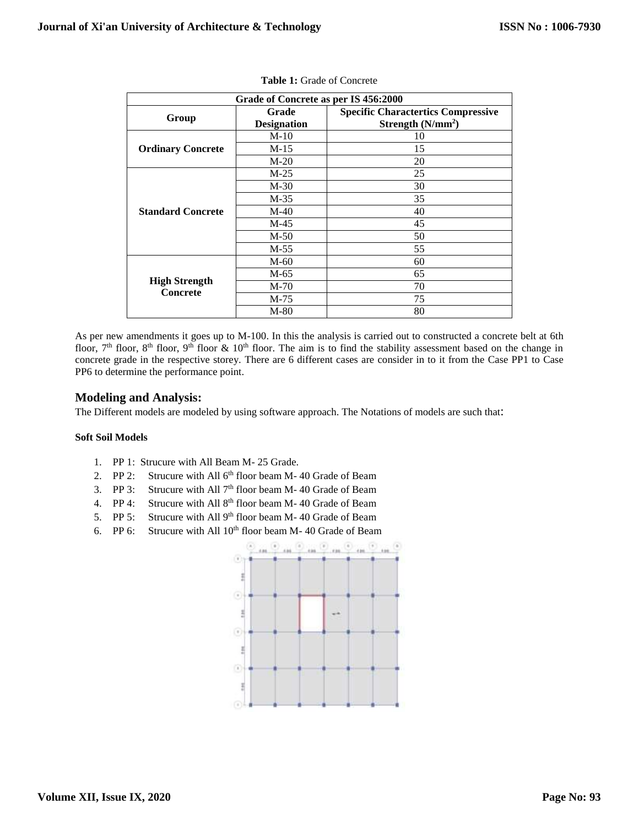| Grade of Concrete as per IS 456:2000 |                             |                                                                  |  |
|--------------------------------------|-----------------------------|------------------------------------------------------------------|--|
| Group                                | Grade<br><b>Designation</b> | <b>Specific Charactertics Compressive</b><br>Strength $(N/mm^2)$ |  |
|                                      |                             |                                                                  |  |
|                                      | $M-10$                      | 10                                                               |  |
| <b>Ordinary Concrete</b>             | M-15                        | 15                                                               |  |
|                                      | $M-20$                      | 20                                                               |  |
|                                      | $M-25$                      | 25                                                               |  |
|                                      | $M-30$                      | 30                                                               |  |
|                                      | M-35                        | 35                                                               |  |
| <b>Standard Concrete</b>             | M-40                        | 40                                                               |  |
|                                      | M-45                        | 45                                                               |  |
|                                      | $M-50$                      | 50                                                               |  |
|                                      | M-55                        | 55                                                               |  |
|                                      | $M-60$                      | 60                                                               |  |
|                                      | M-65                        | 65                                                               |  |
| <b>High Strength</b>                 | M-70                        | 70                                                               |  |
| Concrete                             | $M-75$                      | 75                                                               |  |
|                                      | M-80                        | 80                                                               |  |

As per new amendments it goes up to M-100. In this the analysis is carried out to constructed a concrete belt at 6th floor,  $7<sup>th</sup>$  floor,  $8<sup>th</sup>$  floor,  $9<sup>th</sup>$  floor &  $10<sup>th</sup>$  floor. The aim is to find the stability assessment based on the change in concrete grade in the respective storey. There are 6 different cases are consider in to it from the Case PP1 to Case PP6 to determine the performance point.

# **Modeling and Analysis:**

The Different models are modeled by using software approach. The Notations of models are such that:

#### **Soft Soil Models**

- 1. PP 1: Strucure with All Beam M- 25 Grade.
- 2. PP 2: Strucure with All  $6<sup>th</sup>$  floor beam M-40 Grade of Beam
- 3. PP 3: Strucure with All  $7<sup>th</sup>$  floor beam M-40 Grade of Beam
- 4. PP 4: Strucure with All  $8<sup>th</sup>$  floor beam M-40 Grade of Beam
- 5. PP 5: Strucure with All  $9<sup>th</sup>$  floor beam M-40 Grade of Beam
- 6. PP 6: Strucure with All  $10<sup>th</sup>$  floor beam M-40 Grade of Beam

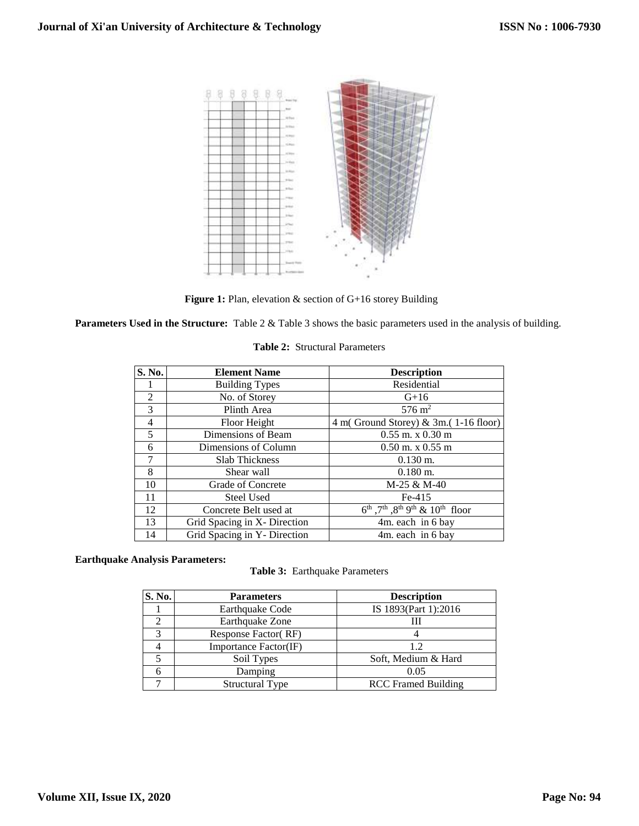

Figure 1: Plan, elevation & section of G+16 storey Building

**Parameters Used in the Structure:** Table 2 & Table 3 shows the basic parameters used in the analysis of building.

|  | <b>Table 2:</b> Structural Parameters |
|--|---------------------------------------|
|  |                                       |

| S. No.         | <b>Element Name</b>          | <b>Description</b>                                        |
|----------------|------------------------------|-----------------------------------------------------------|
|                | <b>Building Types</b>        | Residential                                               |
| $\overline{2}$ | No. of Storey                | $G+16$                                                    |
| $\mathcal{F}$  | Plinth Area                  | $576 \text{ m}^2$                                         |
| $\overline{4}$ | Floor Height                 | 4 m(Ground Storey) $\&$ 3m.(1-16 floor)                   |
| 5              | Dimensions of Beam           | $0.55$ m. x $0.30$ m                                      |
| 6              | Dimensions of Column         | $0.50$ m. x $0.55$ m                                      |
| 7              | <b>Slab Thickness</b>        | $0.130$ m.                                                |
| 8              | Shear wall                   | $0.180$ m.                                                |
| 10             | Grade of Concrete            | M-25 & M-40                                               |
| 11             | <b>Steel Used</b>            | $Fe-415$                                                  |
| 12             | Concrete Belt used at        | $6^{th}$ , $7^{th}$ , $8^{th}$ $9^{th}$ & $10^{th}$ floor |
| 13             | Grid Spacing in X- Direction | 4m. each in 6 bay                                         |
| 14             | Grid Spacing in Y- Direction | 4m. each in 6 bay                                         |

# **Earthquake Analysis Parameters:**

**Table 3:** Earthquake Parameters

| S. No. | <b>Parameters</b>      | <b>Description</b>         |
|--------|------------------------|----------------------------|
|        | Earthquake Code        | IS 1893(Part 1):2016       |
|        | Earthquake Zone        | Ш                          |
|        | Response Factor (RF)   |                            |
|        | Importance Factor(IF)  | 12                         |
|        | Soil Types             | Soft, Medium & Hard        |
|        | Damping                | 0.05                       |
|        | <b>Structural Type</b> | <b>RCC</b> Framed Building |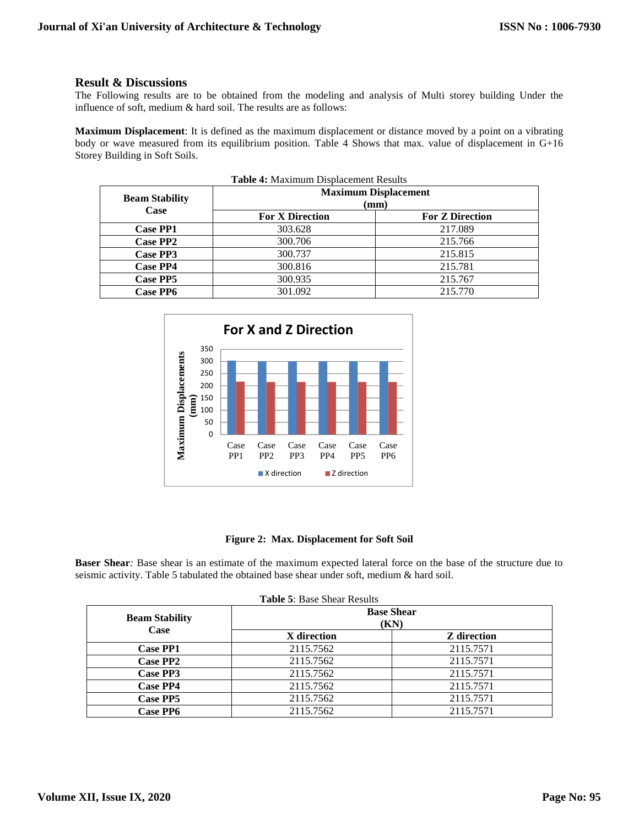# **Result & Discussions**

The Following results are to be obtained from the modeling and analysis of Multi storey building Under the influence of soft, medium & hard soil. The results are as follows:

**Maximum Displacement**: It is defined as the maximum displacement or distance moved by a point on a vibrating body or wave measured from its equilibrium position. Table 4 Shows that max. value of displacement in G+16 Storey Building in Soft Soils.

| <b>Beam Stability</b> |                        | <b>Maximum Displacement</b> |
|-----------------------|------------------------|-----------------------------|
| Case                  | (mm)                   |                             |
|                       | <b>For X Direction</b> | <b>For Z Direction</b>      |
| <b>Case PP1</b>       | 303.628                | 217.089                     |
| Case PP2              | 300.706                | 215.766                     |
| Case PP3              | 300.737                | 215.815                     |
| <b>Case PP4</b>       | 300.816                | 215.781                     |
| Case PP5              | 300.935                | 215.767                     |
| <b>Case PP6</b>       | 301.092                | 215.770                     |



#### **Figure 2: Max. Displacement for Soft Soil**

**Baser Shear***:* Base shear is an estimate of the maximum expected lateral force on the base of the structure due to seismic activity. Table 5 tabulated the obtained base shear under soft, medium & hard soil.

| <b>Table 5: Base Shear Results</b>   |                           |                    |  |
|--------------------------------------|---------------------------|--------------------|--|
| <b>Beam Stability</b><br><b>Case</b> | <b>Base Shear</b><br>(KN) |                    |  |
|                                      | X direction               | <b>Z</b> direction |  |
| <b>Case PP1</b>                      | 2115.7562                 | 2115.7571          |  |
| Case PP2                             | 2115.7562                 | 2115.7571          |  |
| Case PP3                             | 2115.7562                 | 2115.7571          |  |
| <b>Case PP4</b>                      | 2115.7562                 | 2115.7571          |  |
| <b>Case PP5</b>                      | 2115.7562                 | 2115.7571          |  |
| <b>Case PP6</b>                      | 2115.7562                 | 2115.7571          |  |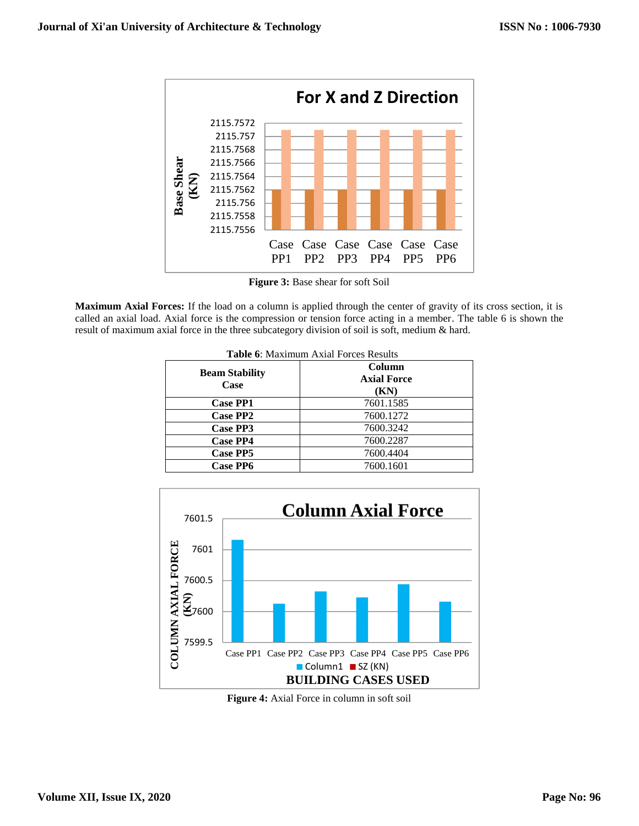

**Figure 3:** Base shear for soft Soil

**Maximum Axial Forces:** If the load on a column is applied through the center of gravity of its cross section, it is called an axial load. Axial force is the compression or tension force acting in a member. The table 6 is shown the result of maximum axial force in the three subcategory division of soil is soft, medium & hard.

|                               | <b>Table 6:</b> Maximum Axial Forces Results |  |  |
|-------------------------------|----------------------------------------------|--|--|
| <b>Beam Stability</b><br>Case | Column<br><b>Axial Force</b><br>(KN)         |  |  |
| <b>Case PP1</b>               | 7601.1585                                    |  |  |
| Case PP2                      | 7600.1272                                    |  |  |
| Case PP3                      | 7600.3242                                    |  |  |
| <b>Case PP4</b>               | 7600.2287                                    |  |  |
| <b>Case PP5</b>               | 7600.4404                                    |  |  |
| <b>Case PP6</b>               | 7600.1601                                    |  |  |



**Figure 4:** Axial Force in column in soft soil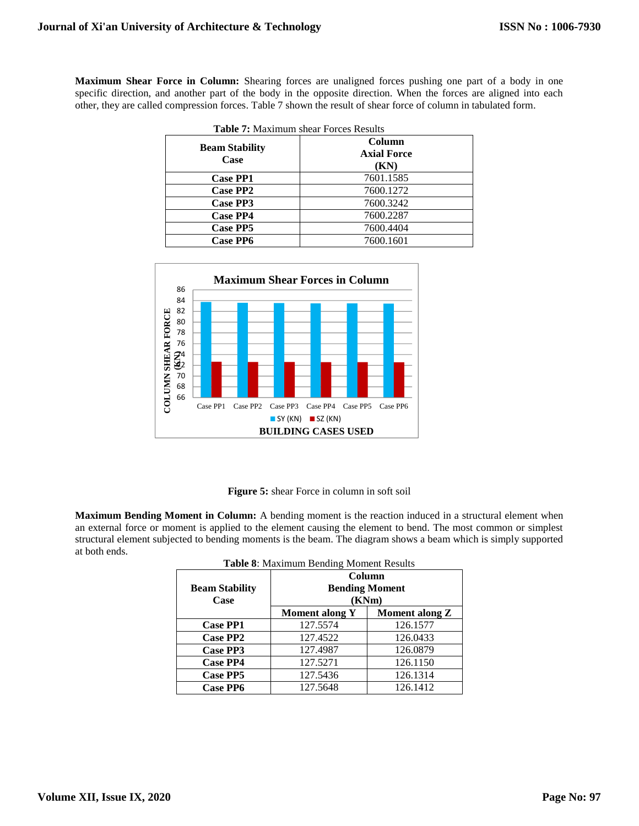**Maximum Shear Force in Column:** Shearing forces are unaligned forces pushing one part of a body in one specific direction, and another part of the body in the opposite direction. When the forces are aligned into each other, they are called compression forces. Table 7 shown the result of shear force of column in tabulated form.

|                               | <b>Table 7:</b> Maximum shear Forces Results |  |  |
|-------------------------------|----------------------------------------------|--|--|
| <b>Beam Stability</b><br>Case | Column<br><b>Axial Force</b><br>(KN)         |  |  |
| <b>Case PP1</b>               | 7601.1585                                    |  |  |
| Case PP2                      | 7600.1272                                    |  |  |
| Case PP3                      | 7600.3242                                    |  |  |
| <b>Case PP4</b>               | 7600.2287                                    |  |  |
| Case PP5                      | 7600.4404                                    |  |  |
| <b>Case PP6</b>               | 7600.1601                                    |  |  |



**Figure 5:** shear Force in column in soft soil

**Maximum Bending Moment in Column:** A bending moment is the reaction induced in a structural element when an external force or moment is applied to the element causing the element to bend. The most common or simplest structural element subjected to bending moments is the beam. The diagram shows a beam which is simply supported at both ends.

| <b>Table 6.</b> Maximum Dending Moment Results |                                          |                       |
|------------------------------------------------|------------------------------------------|-----------------------|
| <b>Beam Stability</b><br>Case                  | Column<br><b>Bending Moment</b><br>(KNm) |                       |
|                                                | <b>Moment along Y</b>                    | <b>Moment along Z</b> |
| <b>Case PP1</b>                                | 127.5574                                 | 126.1577              |
| <b>Case PP2</b>                                | 127.4522                                 | 126.0433              |
| Case PP3                                       | 127.4987                                 | 126.0879              |
| <b>Case PP4</b>                                | 127.5271                                 | 126.1150              |
| <b>Case PP5</b>                                | 127.5436                                 | 126.1314              |
| <b>Case PP6</b>                                | 127.5648                                 | 126.1412              |

**Table 8**: Maximum Bending Moment Results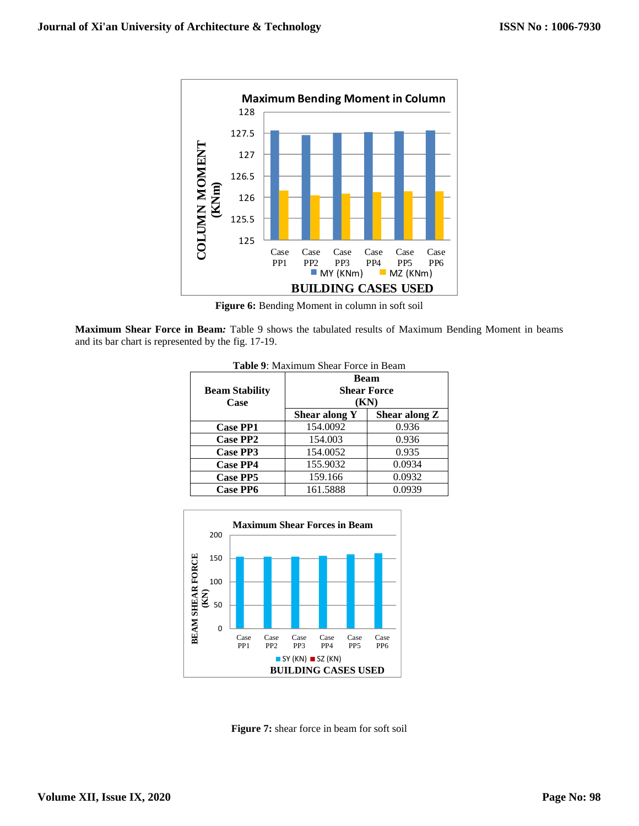

Figure 6: Bending Moment in column in soft soil

**Maximum Shear Force in Beam***:* Table 9 shows the tabulated results of Maximum Bending Moment in beams and its bar chart is represented by the fig. 17-19.

| <b>Table 9:</b> Maximum Shear Force in Beam |               |                    |  |
|---------------------------------------------|---------------|--------------------|--|
|                                             | Beam          |                    |  |
| <b>Beam Stability</b>                       |               | <b>Shear Force</b> |  |
| Case                                        | (KN)          |                    |  |
|                                             | Shear along Y | Shear along Z      |  |
| <b>Case PP1</b>                             | 154.0092      | 0.936              |  |
| <b>Case PP2</b>                             | 154.003       | 0.936              |  |
| Case PP3                                    | 154.0052      | 0.935              |  |
| <b>Case PP4</b>                             | 155.9032      | 0.0934             |  |
| <b>Case PP5</b>                             | 159.166       | 0.0932             |  |
| <b>Case PP6</b>                             | 161.5888      | 0.0939             |  |



**Figure 7:** shear force in beam for soft soil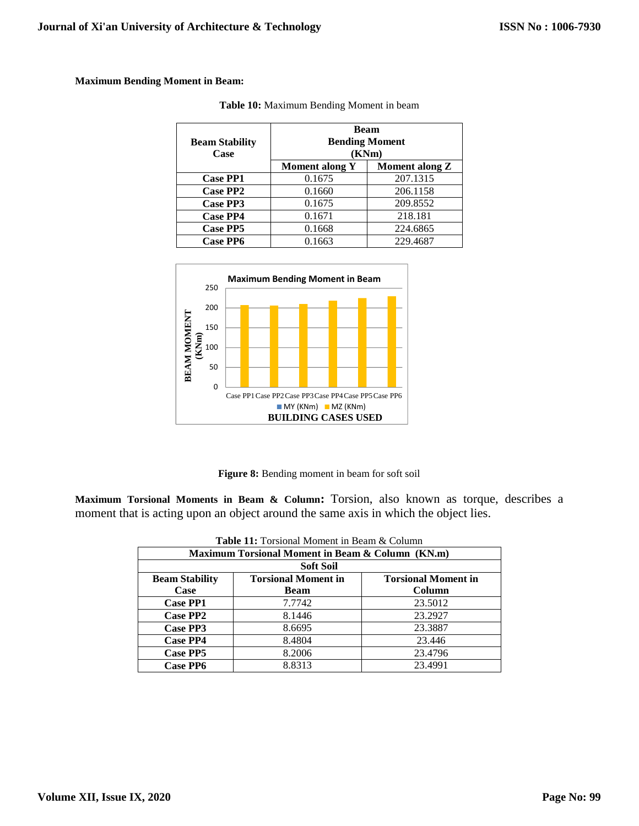# **Maximum Bending Moment in Beam:**

| <b>Beam Stability</b><br>Case | <b>Beam</b><br><b>Bending Moment</b><br>(KNm) |                |
|-------------------------------|-----------------------------------------------|----------------|
|                               | <b>Moment along Y</b>                         | Moment along Z |
| <b>Case PP1</b>               | 0.1675                                        | 207.1315       |
| <b>Case PP2</b>               | 0.1660                                        | 206.1158       |
| Case PP3                      | 0.1675                                        | 209.8552       |
| <b>Case PP4</b>               | 0.1671                                        | 218.181        |
| <b>Case PP5</b>               | 0.1668                                        | 224.6865       |
| <b>Case PP6</b>               | 0.1663                                        | 229.4687       |

| Table 10: Maximum Bending Moment in beam |  |
|------------------------------------------|--|
|------------------------------------------|--|



**Figure 8:** Bending moment in beam for soft soil

**Maximum Torsional Moments in Beam & Column:** Torsion, also known as torque, describes a moment that is acting upon an object around the same axis in which the object lies.

| <b>Table 11:</b> Torsional Moment in Beam & Column |                            |                            |  |  |  |  |
|----------------------------------------------------|----------------------------|----------------------------|--|--|--|--|
| Maximum Torsional Moment in Beam & Column (KN.m)   |                            |                            |  |  |  |  |
| <b>Soft Soil</b>                                   |                            |                            |  |  |  |  |
| <b>Beam Stability</b>                              | <b>Torsional Moment in</b> | <b>Torsional Moment in</b> |  |  |  |  |
| Case                                               | <b>Beam</b>                | Column                     |  |  |  |  |
| <b>Case PP1</b>                                    | 7.7742                     | 23.5012                    |  |  |  |  |
| <b>Case PP2</b>                                    | 8.1446                     | 23.2927                    |  |  |  |  |
| Case PP3                                           | 8.6695                     | 23.3887                    |  |  |  |  |
| <b>Case PP4</b>                                    | 8.4804                     | 23.446                     |  |  |  |  |
| Case PP5                                           | 8.2006                     | 23.4796                    |  |  |  |  |
| <b>Case PP6</b>                                    | 8.8313                     | 23.4991                    |  |  |  |  |

| <b>Table 11:</b> Torsional Moment in Beam & Column |  |  |  |  |
|----------------------------------------------------|--|--|--|--|
|----------------------------------------------------|--|--|--|--|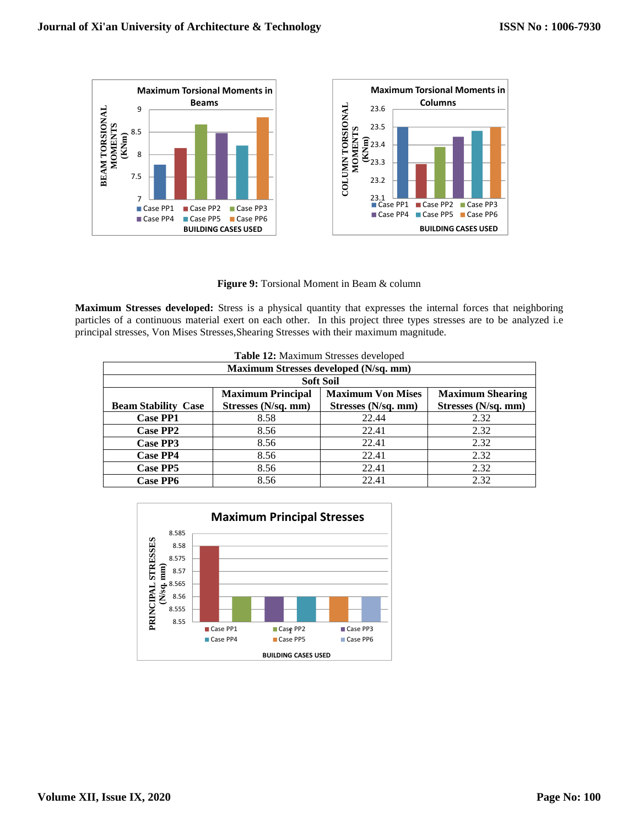

**Figure 9:** Torsional Moment in Beam & column

**Maximum Stresses developed:** Stress is a physical quantity that expresses the internal forces that neighboring particles of a continuous material exert on each other. In this project three types stresses are to be analyzed i.e principal stresses, Von Mises Stresses,Shearing Stresses with their maximum magnitude.

| Table 12: Maximum Stresses developed  |                          |                          |                         |  |  |  |  |
|---------------------------------------|--------------------------|--------------------------|-------------------------|--|--|--|--|
| Maximum Stresses developed (N/sq. mm) |                          |                          |                         |  |  |  |  |
| <b>Soft Soil</b>                      |                          |                          |                         |  |  |  |  |
|                                       | <b>Maximum Principal</b> | <b>Maximum Von Mises</b> | <b>Maximum Shearing</b> |  |  |  |  |
| <b>Beam Stability Case</b>            | Stresses (N/sq. mm)      | Stresses (N/sq. mm)      | Stresses (N/sq. mm)     |  |  |  |  |
| <b>Case PP1</b>                       | 8.58                     | 22.44                    | 2.32                    |  |  |  |  |
| <b>Case PP2</b>                       | 8.56                     | 22.41                    | 2.32                    |  |  |  |  |
| Case PP3                              | 8.56                     | 22.41                    | 2.32                    |  |  |  |  |
| <b>Case PP4</b>                       | 8.56                     | 22.41                    | 2.32                    |  |  |  |  |
| <b>Case PP5</b>                       | 8.56                     | 22.41                    | 2.32                    |  |  |  |  |
| <b>Case PP6</b>                       | 8.56                     | 22.41                    | 2.32                    |  |  |  |  |

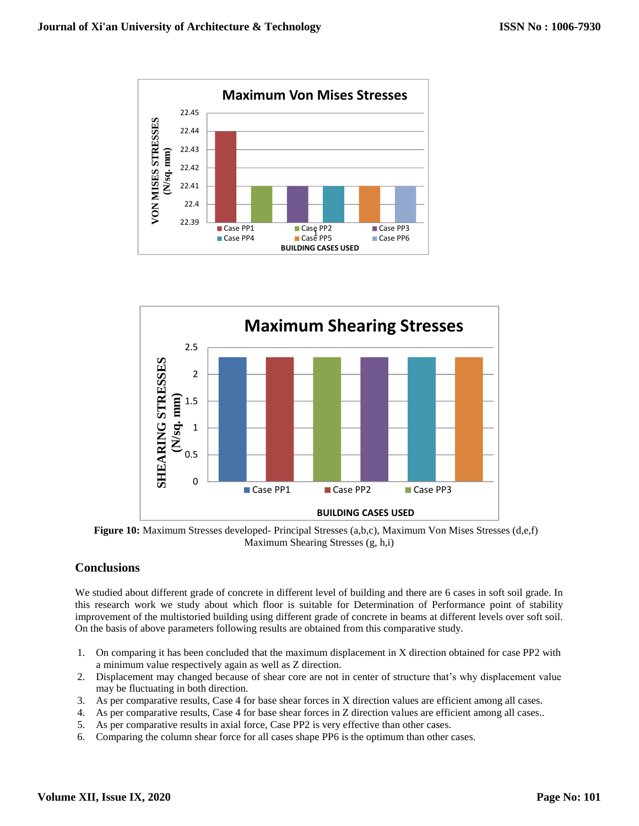



**Figure 10:** Maximum Stresses developed- Principal Stresses (a,b,c), Maximum Von Mises Stresses (d,e,f) Maximum Shearing Stresses (g, h,i)

# **Conclusions**

We studied about different grade of concrete in different level of building and there are 6 cases in soft soil grade. In this research work we study about which floor is suitable for Determination of Performance point of stability improvement of the multistoried building using different grade of concrete in beams at different levels over soft soil. On the basis of above parameters following results are obtained from this comparative study.

- 1. On comparing it has been concluded that the maximum displacement in X direction obtained for case PP2 with a minimum value respectively again as well as Z direction.
- 2. Displacement may changed because of shear core are not in center of structure that's why displacement value may be fluctuating in both direction.
- 3. As per comparative results, Case 4 for base shear forces in X direction values are efficient among all cases.
- 4. As per comparative results, Case 4 for base shear forces in Z direction values are efficient among all cases..
- 5. As per comparative results in axial force, Case PP2 is very effective than other cases.
- 6. Comparing the column shear force for all cases shape PP6 is the optimum than other cases.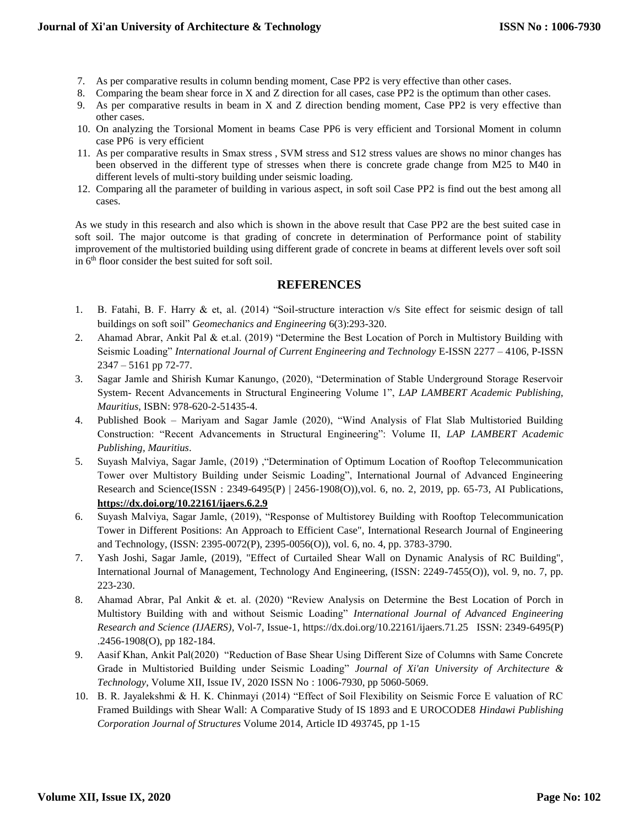- 7. As per comparative results in column bending moment, Case PP2 is very effective than other cases.
- 8. Comparing the beam shear force in X and Z direction for all cases, case PP2 is the optimum than other cases.
- 9. As per comparative results in beam in X and Z direction bending moment, Case PP2 is very effective than other cases.
- 10. On analyzing the Torsional Moment in beams Case PP6 is very efficient and Torsional Moment in column case PP6 is very efficient
- 11. As per comparative results in Smax stress , SVM stress and S12 stress values are shows no minor changes has been observed in the different type of stresses when there is concrete grade change from M25 to M40 in different levels of multi-story building under seismic loading.
- 12. Comparing all the parameter of building in various aspect, in soft soil Case PP2 is find out the best among all cases.

As we study in this research and also which is shown in the above result that Case PP2 are the best suited case in soft soil. The major outcome is that grading of concrete in determination of Performance point of stability improvement of the multistoried building using different grade of concrete in beams at different levels over soft soil in 6th floor consider the best suited for soft soil.

# **REFERENCES**

- 1. B. Fatahi, B. F. Harry & et, al. (2014) "Soil-structure interaction v/s Site effect for seismic design of tall buildings on soft soil" *Geomechanics and Engineering* 6(3):293-320.
- 2. Ahamad Abrar, Ankit Pal & et.al. (2019) "Determine the Best Location of Porch in Multistory Building with Seismic Loading" *International Journal of Current Engineering and Technology* E-ISSN 2277 – 4106, P-ISSN 2347 – 5161 pp 72-77.
- 3. Sagar Jamle and Shirish Kumar Kanungo, (2020), "Determination of Stable Underground Storage Reservoir System- Recent Advancements in Structural Engineering Volume 1", *LAP LAMBERT Academic Publishing, Mauritius*, ISBN: 978-620-2-51435-4.
- 4. Published Book Mariyam and Sagar Jamle (2020), "Wind Analysis of Flat Slab Multistoried Building Construction: "Recent Advancements in Structural Engineering": Volume II, *LAP LAMBERT Academic Publishing, Mauritius*.
- 5. Suyash Malviya, Sagar Jamle, (2019) ,"Determination of Optimum Location of Rooftop Telecommunication Tower over Multistory Building under Seismic Loading", International Journal of Advanced Engineering Research and Science(ISSN : 2349-6495(P) | 2456-1908(O)),vol. 6, no. 2, 2019, pp. 65-73, AI Publications, **<https://dx.doi.org/10.22161/ijaers.6.2.9>**
- 6. Suyash Malviya, Sagar Jamle, (2019), "Response of Multistorey Building with Rooftop Telecommunication Tower in Different Positions: An Approach to Efficient Case", International Research Journal of Engineering and Technology, (ISSN: 2395-0072(P), 2395-0056(O)), vol. 6, no. 4, pp. 3783-3790.
- 7. Yash Joshi, Sagar Jamle, (2019), "Effect of Curtailed Shear Wall on Dynamic Analysis of RC Building", International Journal of Management, Technology And Engineering, (ISSN: 2249-7455(O)), vol. 9, no. 7, pp. 223-230.
- 8. Ahamad Abrar, Pal Ankit & et. al. (2020) "Review Analysis on Determine the Best Location of Porch in Multistory Building with and without Seismic Loading" *International Journal of Advanced Engineering Research and Science (IJAERS)*, Vol-7, Issue-1, https://dx.doi.org/10.22161/ijaers.71.25 ISSN: 2349-6495(P) .2456-1908(O), pp 182-184.
- 9. Aasif Khan, Ankit Pal(2020) "Reduction of Base Shear Using Different Size of Columns with Same Concrete Grade in Multistoried Building under Seismic Loading" *Journal of Xi'an University of Architecture & Technology*, Volume XII, Issue IV, 2020 ISSN No : 1006-7930, pp 5060-5069.
- 10. B. R. Jayalekshmi & H. K. Chinmayi (2014) "Effect of Soil Flexibility on Seismic Force E valuation of RC Framed Buildings with Shear Wall: A Comparative Study of IS 1893 and E UROCODE8 *Hindawi Publishing Corporation Journal of Structures* Volume 2014, Article ID 493745, pp 1-15